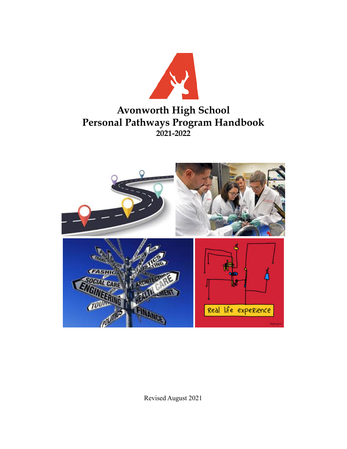

# **Avonworth High School Personal Pathways Program Handbook 2021-2022**



Revised August 2021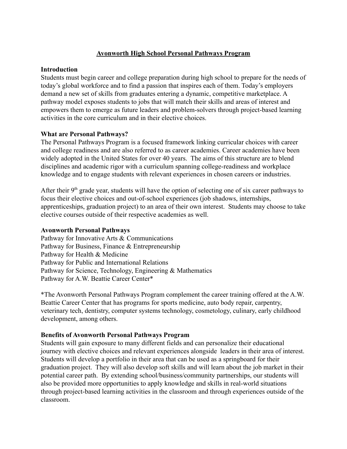# **Avonworth High School Personal Pathways Program**

## **Introduction**

Students must begin career and college preparation during high school to prepare for the needs of today's global workforce and to find a passion that inspires each of them. Today's employers demand a new set of skills from graduates entering a dynamic, competitive marketplace. A pathway model exposes students to jobs that will match their skills and areas of interest and empowers them to emerge as future leaders and problem-solvers through project-based learning activities in the core curriculum and in their elective choices.

# **What are Personal Pathways?**

The Personal Pathways Program is a focused framework linking curricular choices with career and college readiness and are also referred to as career academies. Career academies have been widely adopted in the United States for over 40 years. The aims of this structure are to blend disciplines and academic rigor with a curriculum spanning college-readiness and workplace knowledge and to engage students with relevant experiences in chosen careers or industries.

After their  $9<sup>th</sup>$  grade year, students will have the option of selecting one of six career pathways to focus their elective choices and out-of-school experiences (job shadows, internships, apprenticeships, graduation project) to an area of their own interest. Students may choose to take elective courses outside of their respective academies as well.

# **Avonworth Personal Pathways**

Pathway for Innovative Arts & Communications Pathway for Business, Finance & Entrepreneurship Pathway for Health & Medicine Pathway for Public and International Relations Pathway for Science, Technology, Engineering & Mathematics Pathway for A.W. Beattie Career Center\*

\*The Avonworth Personal Pathways Program complement the career training offered at the A.W. Beattie Career Center that has programs for sports medicine, auto body repair, carpentry, veterinary tech, dentistry, computer systems technology, cosmetology, culinary, early childhood development, among others.

# **Benefits of Avonworth Personal Pathways Program**

Students will gain exposure to many different fields and can personalize their educational journey with elective choices and relevant experiences alongside leaders in their area of interest. Students will develop a portfolio in their area that can be used as a springboard for their graduation project. They will also develop soft skills and will learn about the job market in their potential career path. By extending school/business/community partnerships, our students will also be provided more opportunities to apply knowledge and skills in real-world situations through project-based learning activities in the classroom and through experiences outside of the classroom.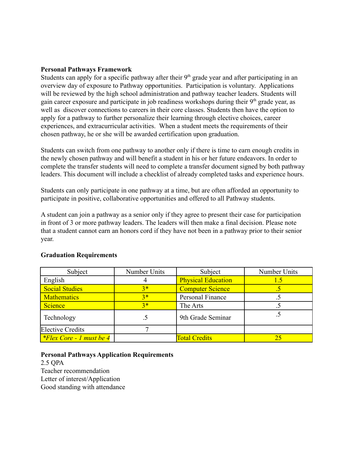## **Personal Pathways Framework**

Students can apply for a specific pathway after their  $9<sup>th</sup>$  grade year and after participating in an overview day of exposure to Pathway opportunities. Participation is voluntary. Applications will be reviewed by the high school administration and pathway teacher leaders. Students will gain career exposure and participate in job readiness workshops during their  $9<sup>th</sup>$  grade year, as well as discover connections to careers in their core classes. Students then have the option to apply for a pathway to further personalize their learning through elective choices, career experiences, and extracurricular activities. When a student meets the requirements of their chosen pathway, he or she will be awarded certification upon graduation.

Students can switch from one pathway to another only if there is time to earn enough credits in the newly chosen pathway and will benefit a student in his or her future endeavors. In order to complete the transfer students will need to complete a transfer document signed by both pathway leaders. This document will include a checklist of already completed tasks and experience hours.

Students can only participate in one pathway at a time, but are often afforded an opportunity to participate in positive, collaborative opportunities and offered to all Pathway students.

A student can join a pathway as a senior only if they agree to present their case for participation in front of 3 or more pathway leaders. The leaders will then make a final decision. Please note that a student cannot earn an honors cord if they have not been in a pathway prior to their senior year.

| Subject                         | Number Units | Subject                   | Number Units |
|---------------------------------|--------------|---------------------------|--------------|
| English                         |              | <b>Physical Education</b> | 15           |
| <b>Social Studies</b>           | $3*$         | <b>Computer Science</b>   |              |
| <b>Mathematics</b>              | $3*$         | Personal Finance          |              |
| Science                         | $3*$         | The Arts                  |              |
| Technology                      |              | 9th Grade Seminar         |              |
| <b>Elective Credits</b>         |              |                           |              |
| <i>*Flex Core - 1 must be 4</i> |              | <b>Total Credits</b>      |              |

## **Graduation Requirements**

**Personal Pathways Application Requirements** 2.5 QPA

Teacher recommendation Letter of interest/Application Good standing with attendance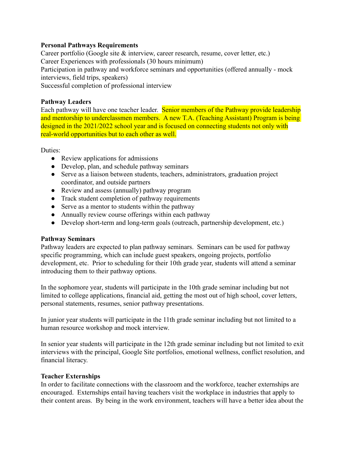# **Personal Pathways Requirements**

Career portfolio (Google site & interview, career research, resume, cover letter, etc.) Career Experiences with professionals (30 hours minimum) Participation in pathway and workforce seminars and opportunities (offered annually - mock interviews, field trips, speakers) Successful completion of professional interview

# **Pathway Leaders**

Each pathway will have one teacher leader. Senior members of the Pathway provide leadership and mentorship to underclassmen members. A new T.A. (Teaching Assistant) Program is being designed in the 2021/2022 school year and is focused on connecting students not only with real-world opportunities but to each other as well.

Duties:

- Review applications for admissions
- Develop, plan, and schedule pathway seminars
- Serve as a liaison between students, teachers, administrators, graduation project coordinator, and outside partners
- Review and assess (annually) pathway program
- Track student completion of pathway requirements
- Serve as a mentor to students within the pathway
- Annually review course offerings within each pathway
- Develop short-term and long-term goals (outreach, partnership development, etc.)

# **Pathway Seminars**

Pathway leaders are expected to plan pathway seminars. Seminars can be used for pathway specific programming, which can include guest speakers, ongoing projects, portfolio development, etc. Prior to scheduling for their 10th grade year, students will attend a seminar introducing them to their pathway options.

In the sophomore year, students will participate in the 10th grade seminar including but not limited to college applications, financial aid, getting the most out of high school, cover letters, personal statements, resumes, senior pathway presentations.

In junior year students will participate in the 11th grade seminar including but not limited to a human resource workshop and mock interview.

In senior year students will participate in the 12th grade seminar including but not limited to exit interviews with the principal, Google Site portfolios, emotional wellness, conflict resolution, and financial literacy.

# **Teacher Externships**

In order to facilitate connections with the classroom and the workforce, teacher externships are encouraged. Externships entail having teachers visit the workplace in industries that apply to their content areas. By being in the work environment, teachers will have a better idea about the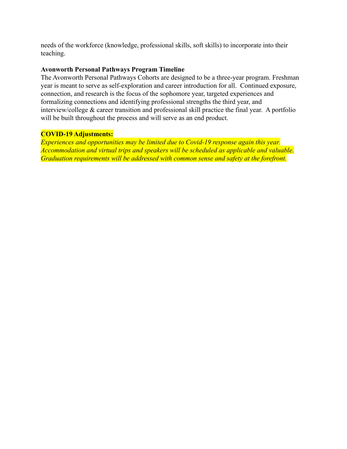needs of the workforce (knowledge, professional skills, soft skills) to incorporate into their teaching.

# **Avonworth Personal Pathways Program Timeline**

The Avonworth Personal Pathways Cohorts are designed to be a three-year program. Freshman year is meant to serve as self-exploration and career introduction for all. Continued exposure, connection, and research is the focus of the sophomore year, targeted experiences and formalizing connections and identifying professional strengths the third year, and interview/college & career transition and professional skill practice the final year. A portfolio will be built throughout the process and will serve as an end product.

# **COVID-19 Adjustments:**

*Experiences and opportunities may be limited due to Covid-19 response again this year. Accommodation and virtual trips and speakers will be scheduled as applicable and valuable. Graduation requirements will be addressed with common sense and safety at the forefront.*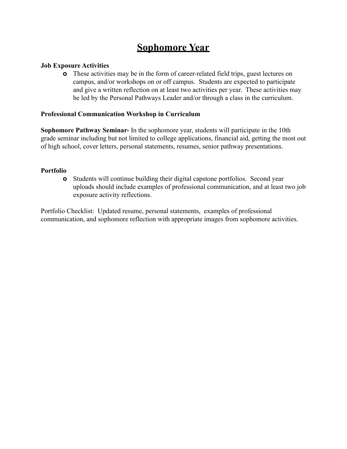# **Sophomore Year**

# **Job Exposure Activities**

**o** These activities may be in the form of career-related field trips, guest lectures on campus, and/or workshops on or off campus. Students are expected to participate and give a written reflection on at least two activities per year. These activities may be led by the Personal Pathways Leader and/or through a class in the curriculum.

# **Professional Communication Workshop in Curriculum**

**Sophomore Pathway Seminar-** In the sophomore year, students will participate in the 10th grade seminar including but not limited to college applications, financial aid, getting the most out of high school, cover letters, personal statements, resumes, senior pathway presentations.

# **Portfolio**

**o** Students will continue building their digital capstone portfolios. Second year uploads should include examples of professional communication, and at least two job exposure activity reflections.

Portfolio Checklist: Updated resume, personal statements, examples of professional communication, and sophomore reflection with appropriate images from sophomore activities.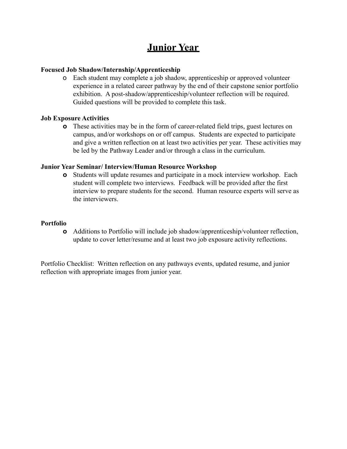# **Junior Year**

# **Focused Job Shadow/Internship/Apprenticeship**

o Each student may complete a job shadow, apprenticeship or approved volunteer experience in a related career pathway by the end of their capstone senior portfolio exhibition. A post-shadow/apprenticeship/volunteer reflection will be required. Guided questions will be provided to complete this task.

## **Job Exposure Activities**

**o** These activities may be in the form of career-related field trips, guest lectures on campus, and/or workshops on or off campus. Students are expected to participate and give a written reflection on at least two activities per year. These activities may be led by the Pathway Leader and/or through a class in the curriculum.

## **Junior Year Seminar/ Interview/Human Resource Workshop**

**o** Students will update resumes and participate in a mock interview workshop. Each student will complete two interviews. Feedback will be provided after the first interview to prepare students for the second. Human resource experts will serve as the interviewers.

## **Portfolio**

**o** Additions to Portfolio will include job shadow/apprenticeship/volunteer reflection, update to cover letter/resume and at least two job exposure activity reflections.

Portfolio Checklist: Written reflection on any pathways events, updated resume, and junior reflection with appropriate images from junior year.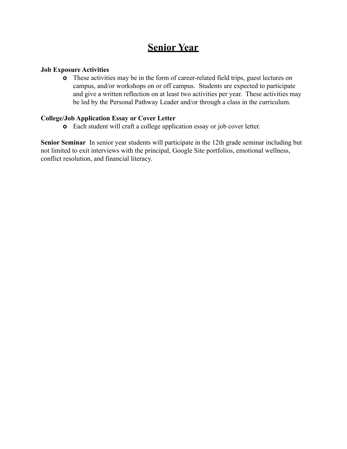# **Senior Year**

# **Job Exposure Activities**

**o** These activities may be in the form of career-related field trips, guest lectures on campus, and/or workshops on or off campus. Students are expected to participate and give a written reflection on at least two activities per year. These activities may be led by the Personal Pathway Leader and/or through a class in the curriculum.

# **College/Job Application Essay or Cover Letter**

**o** Each student will craft a college application essay or job cover letter.

**Senior Seminar** In senior year students will participate in the 12th grade seminar including but not limited to exit interviews with the principal, Google Site portfolios, emotional wellness, conflict resolution, and financial literacy.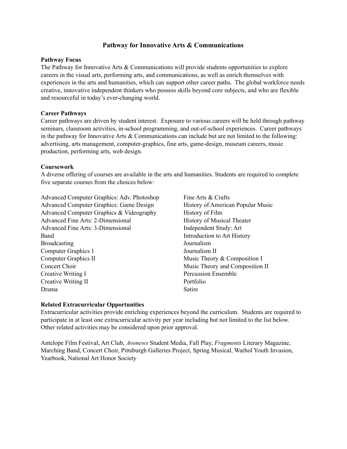## **Pathway for Innovative Arts & Communications**

#### **Pathway Focus**

The Pathway for Innovative Arts & Communications will provide students opportunities to explore careers in the visual arts, performing arts, and communications, as well as enrich themselves with experiences in the arts and humanities, which can support other career paths. The global workforce needs creative, innovative independent thinkers who possess skills beyond core subjects, and who are flexible and resourceful in today's ever-changing world.

#### **Career Pathways**

Career pathways are driven by student interest. Exposure to various careers will be held through pathway seminars, classroom activities, in-school programming, and out-of-school experiences. Career pathways in the pathway for Innovative Arts & Communications can include but are not limited to the following: advertising, arts management, computer-graphics, fine arts, game-design, museum careers, music production, performing arts, web design.

#### **Coursework**

A diverse offering of courses are available in the arts and humanities. Students are required to complete five separate courses from the choices below:

Advanced Computer Graphics: Adv. Photoshop Advanced Computer Graphics: Game Design Advanced Computer Graphics & Videography Advanced Fine Arts: 2-Dimensional Advanced Fine Arts: 3-Dimensional Band Broadcasting Computer Graphics 1 Computer Graphics II Concert Choir Creative Writing I Creative Writing II Drama

Fine Arts & Crafts History of American Popular Music History of Film History of Musical Theater Independent Study: Art Introduction to Art History Journalism Journalism II Music Theory & Composition I Music Theory and Composition II Percussion Ensemble Portfolio Satire

#### **Related Extracurricular Opportunities**

Extracurricular activities provide enriching experiences beyond the curriculum. Students are required to participate in at least one extracurricular activity per year including but not limited to the list below. Other related activities may be considered upon prior approval.

Antelope Film Festival, Art Club, *Avonews* Student Media, Fall Play, *Fragments* Literary Magazine, Marching Band, Concert Choir, Pittsburgh Galleries Project, Spring Musical, Warhol Youth Invasion, Yearbook, National Art Honor Society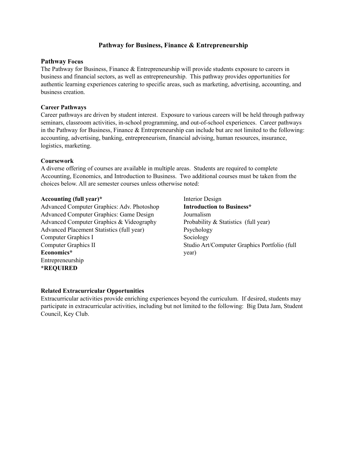# **Pathway for Business, Finance & Entrepreneurship**

## **Pathway Focus**

The Pathway for Business, Finance & Entrepreneurship will provide students exposure to careers in business and financial sectors, as well as entrepreneurship. This pathway provides opportunities for authentic learning experiences catering to specific areas, such as marketing, advertising, accounting, and business creation.

#### **Career Pathways**

Career pathways are driven by student interest. Exposure to various careers will be held through pathway seminars, classroom activities, in-school programming, and out-of-school experiences. Career pathways in the Pathway for Business, Finance  $\&$  Entrepreneurship can include but are not limited to the following: accounting, advertising, banking, entrepreneurism, financial advising, human resources, insurance, logistics, marketing.

#### **Coursework**

A diverse offering of courses are available in multiple areas. Students are required to complete Accounting, Economics, and Introduction to Business. Two additional courses must be taken from the choices below. All are semester courses unless otherwise noted:

#### **Accounting (full year)\***

Advanced Computer Graphics: Adv. Photoshop Advanced Computer Graphics: Game Design Advanced Computer Graphics & Videography Advanced Placement Statistics (full year) Computer Graphics I Computer Graphics II **Economics\*** Entrepreneurship **\*REQUIRED**

Interior Design **Introduction to Business\*** Journalism Probability & Statistics (full year) Psychology Sociology Studio Art/Computer Graphics Portfolio (full year)

#### **Related Extracurricular Opportunities**

Extracurricular activities provide enriching experiences beyond the curriculum. If desired, students may participate in extracurricular activities, including but not limited to the following: Big Data Jam, Student Council, Key Club.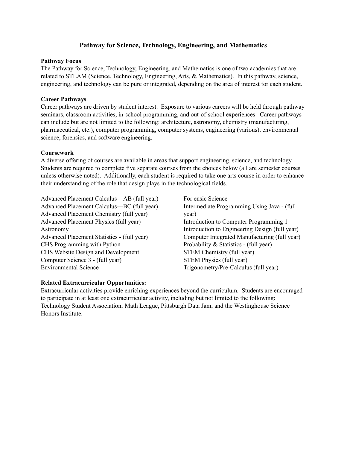## **Pathway for Science, Technology, Engineering, and Mathematics**

#### **Pathway Focus**

The Pathway for Science, Technology, Engineering, and Mathematics is one of two academies that are related to STEAM (Science, Technology, Engineering, Arts, & Mathematics). In this pathway, science, engineering, and technology can be pure or integrated, depending on the area of interest for each student.

## **Career Pathways**

Career pathways are driven by student interest. Exposure to various careers will be held through pathway seminars, classroom activities, in-school programming, and out-of-school experiences. Career pathways can include but are not limited to the following: architecture, astronomy, chemistry (manufacturing, pharmaceutical, etc.), computer programming, computer systems, engineering (various), environmental science, forensics, and software engineering.

## **Coursework**

A diverse offering of courses are available in areas that support engineering, science, and technology. Students are required to complete five separate courses from the choices below (all are semester courses unless otherwise noted). Additionally, each student is required to take one arts course in order to enhance their understanding of the role that design plays in the technological fields.

Advanced Placement Calculus—AB (full year) Advanced Placement Calculus—BC (full year) Advanced Placement Chemistry (full year) Advanced Placement Physics (full year) Astronomy Advanced Placement Statistics - (full year) CHS Programming with Python CHS Website Design and Development Computer Science 3 - (full year) Environmental Science

For ensic Science Intermediate Programming Using Java - (full year) Introduction to Computer Programming 1 Introduction to Engineering Design (full year) Computer Integrated Manufacturing (full year) Probability & Statistics - (full year) STEM Chemistry (full year) STEM Physics (full year) Trigonometry/Pre-Calculus (full year)

## **Related Extracurricular Opportunities:**

Extracurricular activities provide enriching experiences beyond the curriculum. Students are encouraged to participate in at least one extracurricular activity, including but not limited to the following: Technology Student Association, Math League, Pittsburgh Data Jam, and the Westinghouse Science Honors Institute.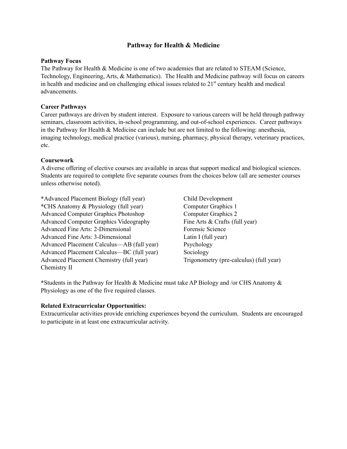## **Pathway for Health & Medicine**

#### **Pathway Focus**

The Pathway for Health & Medicine is one of two academies that are related to STEAM (Science, Technology, Engineering, Arts, & Mathematics). The Health and Medicine pathway will focus on careers in health and medicine and on challenging ethical issues related to 21<sup>st</sup> century health and medical advancements.

## **Career Pathways**

Career pathways are driven by student interest. Exposure to various careers will be held through pathway seminars, classroom activities, in-school programming, and out-of-school experiences. Career pathways in the Pathway for Health  $\&$  Medicine can include but are not limited to the following: anesthesia, imaging technology, medical practice (various), nursing, pharmacy, physical therapy, veterinary practices, etc.

## **Coursework**

A diverse offering of elective courses are available in areas that support medical and biological sciences. Students are required to complete five separate courses from the choices below (all are semester courses unless otherwise noted).

**\***Advanced Placement Biology (full year) **\***CHS Anatomy & Physiology (full year) Advanced Computer Graphics Photoshop Advanced Computer Graphics Videography Advanced Fine Arts: 2-Dimensional Advanced Fine Arts: 3-Dimensional Advanced Placement Calculus—AB (full year) Advanced Placement Calculus—BC (full year) Advanced Placement Chemistry (full year) Chemistry II

Child Development Computer Graphics 1 Computer Graphics 2 Fine Arts & Crafts (full year) Forensic Science Latin I (full year) Psychology Sociology Trigonometry (pre-calculus) (full year)

**\***Students in the Pathway for Health & Medicine must take AP Biology and /or CHS Anatomy & Physiology as one of the five required classes.

## **Related Extracurricular Opportunities:**

Extracurricular activities provide enriching experiences beyond the curriculum. Students are encouraged to participate in at least one extracurricular activity.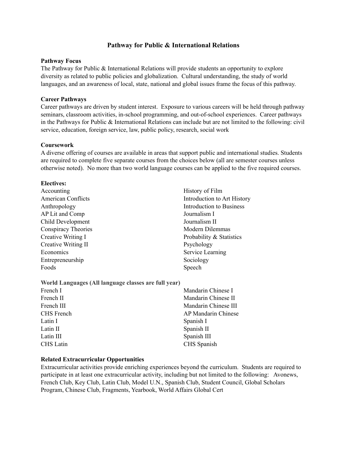## **Pathway for Public & International Relations**

#### **Pathway Focus**

The Pathway for Public & International Relations will provide students an opportunity to explore diversity as related to public policies and globalization. Cultural understanding, the study of world languages, and an awareness of local, state, national and global issues frame the focus of this pathway.

#### **Career Pathways**

Career pathways are driven by student interest. Exposure to various careers will be held through pathway seminars, classroom activities, in-school programming, and out-of-school experiences. Career pathways in the Pathways for Public & International Relations can include but are not limited to the following: civil service, education, foreign service, law, public policy, research, social work

#### **Coursework**

A diverse offering of courses are available in areas that support public and international studies. Students are required to complete five separate courses from the choices below (all are semester courses unless otherwise noted). No more than two world language courses can be applied to the five required courses.

#### **Electives:**

Accounting American Conflicts Anthropology AP Lit and Comp Child Development Conspiracy Theories Creative Writing I Creative Writing II Economics Entrepreneurship Foods

History of Film Introduction to Art History Introduction to Business Journalism I Journalism II Modern Dilemmas Probability & Statistics Psychology Service Learning Sociology Speech

**World Languages (All language classes are full year)**

| French I         | Mandarin Chinese I   |  |
|------------------|----------------------|--|
| French II        | Mandarin Chinese II  |  |
| French III       | Mandarin Chinese III |  |
| CHS French       | AP Mandarin Chinese  |  |
| Latin I          | Spanish I            |  |
| Latin II         | Spanish II           |  |
| Latin III        | Spanish III          |  |
| <b>CHS</b> Latin | CHS Spanish          |  |
|                  |                      |  |

#### **Related Extracurricular Opportunities**

Extracurricular activities provide enriching experiences beyond the curriculum. Students are required to participate in at least one extracurricular activity, including but not limited to the following: Avonews, French Club, Key Club, Latin Club, Model U.N., Spanish Club, Student Council, Global Scholars Program, Chinese Club, Fragments, Yearbook, World Affairs Global Cert